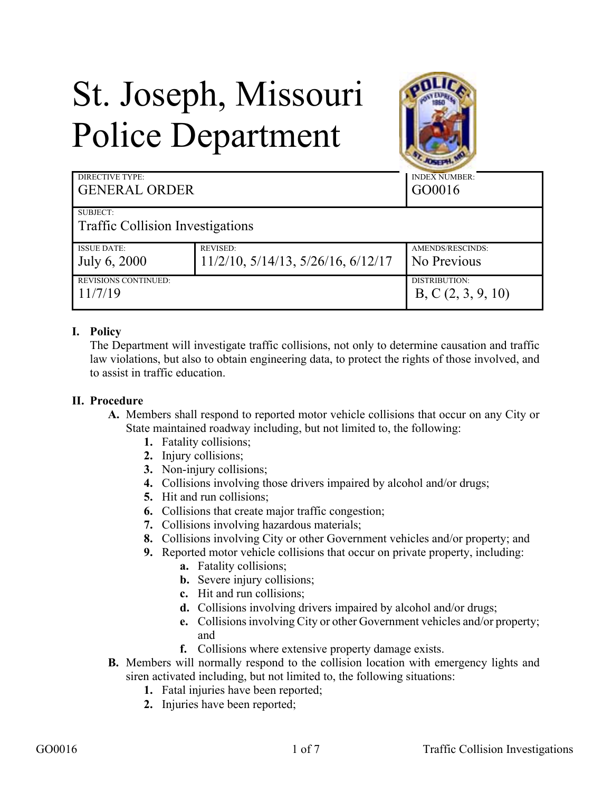# St. Joseph, Missouri Police Department



| <b>DIRECTIVE TYPE:</b>                       |                                    | <b>INDEX NUMBER:</b>               |
|----------------------------------------------|------------------------------------|------------------------------------|
| <b>GENERAL ORDER</b>                         |                                    | GO0016                             |
| SUBJECT:<br>Traffic Collision Investigations |                                    |                                    |
| <b>ISSUE DATE:</b>                           | <b>REVISED:</b>                    | AMENDS/RESCINDS:                   |
| July 6, 2000                                 | 11/2/10, 5/14/13, 5/26/16, 6/12/17 | No Previous                        |
| <b>REVISIONS CONTINUED:</b><br>11/7/19       |                                    | DISTRIBUTION:<br>B, C(2, 3, 9, 10) |

# **I. Policy**

The Department will investigate traffic collisions, not only to determine causation and traffic law violations, but also to obtain engineering data, to protect the rights of those involved, and to assist in traffic education.

#### **II. Procedure**

- **A.** Members shall respond to reported motor vehicle collisions that occur on any City or State maintained roadway including, but not limited to, the following:
	- **1.** Fatality collisions;
	- **2.** Injury collisions;
	- **3.** Non-injury collisions;
	- **4.** Collisions involving those drivers impaired by alcohol and/or drugs;
	- **5.** Hit and run collisions;
	- **6.** Collisions that create major traffic congestion;
	- **7.** Collisions involving hazardous materials;
	- **8.** Collisions involving City or other Government vehicles and/or property; and
	- **9.** Reported motor vehicle collisions that occur on private property, including:
		- **a.** Fatality collisions;
		- **b.** Severe injury collisions;
		- **c.** Hit and run collisions;
		- **d.** Collisions involving drivers impaired by alcohol and/or drugs;
		- **e.** Collisions involving City or other Government vehicles and/or property; and
		- **f.** Collisions where extensive property damage exists.
- **B.** Members will normally respond to the collision location with emergency lights and siren activated including, but not limited to, the following situations:
	- **1.** Fatal injuries have been reported;
	- **2.** Injuries have been reported;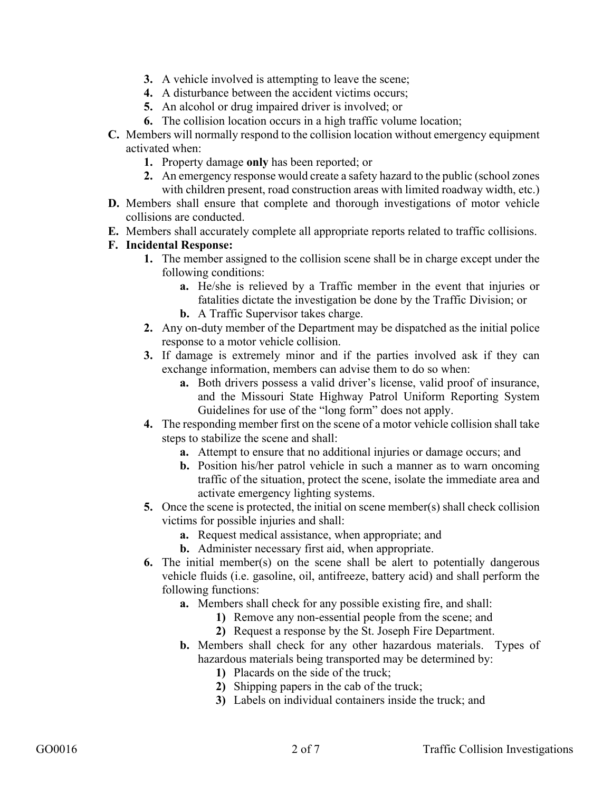- **3.** A vehicle involved is attempting to leave the scene;
- **4.** A disturbance between the accident victims occurs;
- **5.** An alcohol or drug impaired driver is involved; or
- **6.** The collision location occurs in a high traffic volume location;
- **C.** Members will normally respond to the collision location without emergency equipment activated when:
	- **1.** Property damage **only** has been reported; or
	- **2.** An emergency response would create a safety hazard to the public (school zones with children present, road construction areas with limited roadway width, etc.)
- **D.** Members shall ensure that complete and thorough investigations of motor vehicle collisions are conducted.
- **E.** Members shall accurately complete all appropriate reports related to traffic collisions.

#### **F. Incidental Response:**

- **1.** The member assigned to the collision scene shall be in charge except under the following conditions:
	- **a.** He/she is relieved by a Traffic member in the event that injuries or fatalities dictate the investigation be done by the Traffic Division; or
	- **b.** A Traffic Supervisor takes charge.
- **2.** Any on-duty member of the Department may be dispatched as the initial police response to a motor vehicle collision.
- **3.** If damage is extremely minor and if the parties involved ask if they can exchange information, members can advise them to do so when:
	- **a.** Both drivers possess a valid driver's license, valid proof of insurance, and the Missouri State Highway Patrol Uniform Reporting System Guidelines for use of the "long form" does not apply.
- **4.** The responding member first on the scene of a motor vehicle collision shall take steps to stabilize the scene and shall:
	- **a.** Attempt to ensure that no additional injuries or damage occurs; and
	- **b.** Position his/her patrol vehicle in such a manner as to warn oncoming traffic of the situation, protect the scene, isolate the immediate area and activate emergency lighting systems.
- **5.** Once the scene is protected, the initial on scene member(s) shall check collision victims for possible injuries and shall:
	- **a.** Request medical assistance, when appropriate; and
	- **b.** Administer necessary first aid, when appropriate.
- **6.** The initial member(s) on the scene shall be alert to potentially dangerous vehicle fluids (i.e. gasoline, oil, antifreeze, battery acid) and shall perform the following functions:
	- **a.** Members shall check for any possible existing fire, and shall:
		- **1)** Remove any non-essential people from the scene; and
		- **2)** Request a response by the St. Joseph Fire Department.
	- **b.** Members shall check for any other hazardous materials. Types of hazardous materials being transported may be determined by:
		- **1)** Placards on the side of the truck;
		- **2)** Shipping papers in the cab of the truck;
		- **3)** Labels on individual containers inside the truck; and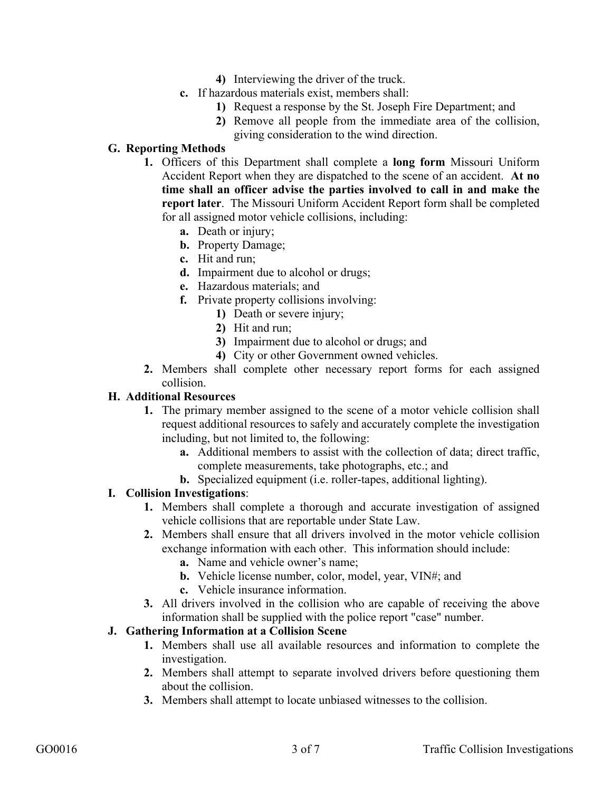- **4)** Interviewing the driver of the truck.
- **c.** If hazardous materials exist, members shall:
	- **1)** Request a response by the St. Joseph Fire Department; and
	- **2)** Remove all people from the immediate area of the collision, giving consideration to the wind direction.

# **G. Reporting Methods**

- **1.** Officers of this Department shall complete a **long form** Missouri Uniform Accident Report when they are dispatched to the scene of an accident. **At no time shall an officer advise the parties involved to call in and make the report later**. The Missouri Uniform Accident Report form shall be completed for all assigned motor vehicle collisions, including:
	- **a.** Death or injury;
	- **b.** Property Damage;
	- **c.** Hit and run;
	- **d.** Impairment due to alcohol or drugs;
	- **e.** Hazardous materials; and
	- **f.** Private property collisions involving:
		- **1)** Death or severe injury;
		- **2)** Hit and run;
		- **3)** Impairment due to alcohol or drugs; and
		- **4)** City or other Government owned vehicles.
- **2.** Members shall complete other necessary report forms for each assigned collision.

#### **H. Additional Resources**

- **1.** The primary member assigned to the scene of a motor vehicle collision shall request additional resources to safely and accurately complete the investigation including, but not limited to, the following:
	- **a.** Additional members to assist with the collection of data; direct traffic, complete measurements, take photographs, etc.; and
	- **b.** Specialized equipment (i.e. roller-tapes, additional lighting).

# **I. Collision Investigations**:

- **1.** Members shall complete a thorough and accurate investigation of assigned vehicle collisions that are reportable under State Law.
- **2.** Members shall ensure that all drivers involved in the motor vehicle collision exchange information with each other. This information should include:
	- **a.** Name and vehicle owner's name;
	- **b.** Vehicle license number, color, model, year, VIN#; and
	- **c.** Vehicle insurance information.
- **3.** All drivers involved in the collision who are capable of receiving the above information shall be supplied with the police report "case" number.

# **J. Gathering Information at a Collision Scene**

- **1.** Members shall use all available resources and information to complete the investigation.
- **2.** Members shall attempt to separate involved drivers before questioning them about the collision.
- **3.** Members shall attempt to locate unbiased witnesses to the collision.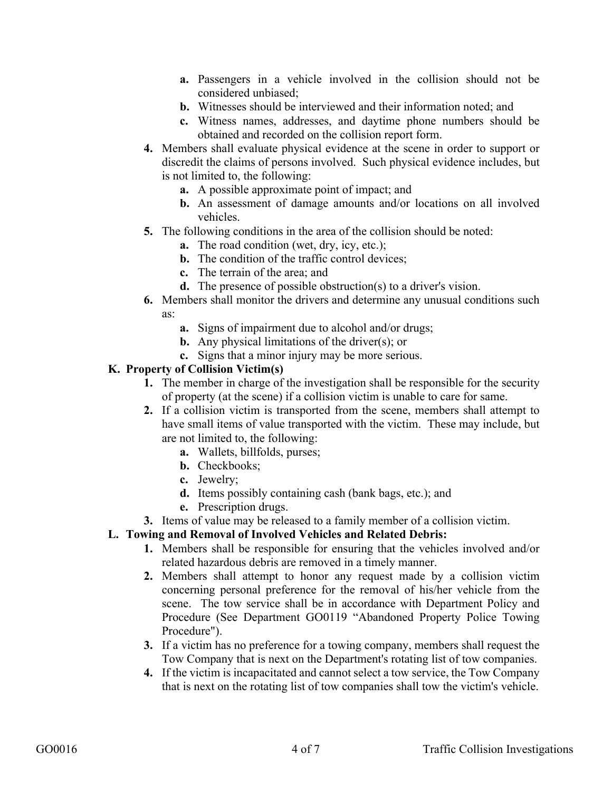- **a.** Passengers in a vehicle involved in the collision should not be considered unbiased;
- **b.** Witnesses should be interviewed and their information noted; and
- **c.** Witness names, addresses, and daytime phone numbers should be obtained and recorded on the collision report form.
- **4.** Members shall evaluate physical evidence at the scene in order to support or discredit the claims of persons involved. Such physical evidence includes, but is not limited to, the following:
	- **a.** A possible approximate point of impact; and
	- **b.** An assessment of damage amounts and/or locations on all involved vehicles.
- **5.** The following conditions in the area of the collision should be noted:
	- **a.** The road condition (wet, dry, icy, etc.);
	- **b.** The condition of the traffic control devices:
	- **c.** The terrain of the area; and
	- **d.** The presence of possible obstruction(s) to a driver's vision.
- **6.** Members shall monitor the drivers and determine any unusual conditions such as:
	- **a.** Signs of impairment due to alcohol and/or drugs;
	- **b.** Any physical limitations of the driver(s); or
	- **c.** Signs that a minor injury may be more serious.

# **K. Property of Collision Victim(s)**

- **1.** The member in charge of the investigation shall be responsible for the security of property (at the scene) if a collision victim is unable to care for same.
- **2.** If a collision victim is transported from the scene, members shall attempt to have small items of value transported with the victim. These may include, but are not limited to, the following:
	- **a.** Wallets, billfolds, purses;
	- **b.** Checkbooks;
	- **c.** Jewelry;
	- **d.** Items possibly containing cash (bank bags, etc.); and
	- **e.** Prescription drugs.
- **3.** Items of value may be released to a family member of a collision victim.

# **L. Towing and Removal of Involved Vehicles and Related Debris:**

- **1.** Members shall be responsible for ensuring that the vehicles involved and/or related hazardous debris are removed in a timely manner.
- **2.** Members shall attempt to honor any request made by a collision victim concerning personal preference for the removal of his/her vehicle from the scene. The tow service shall be in accordance with Department Policy and Procedure (See Department GO0119 "Abandoned Property Police Towing Procedure").
- **3.** If a victim has no preference for a towing company, members shall request the Tow Company that is next on the Department's rotating list of tow companies.
- **4.** If the victim is incapacitated and cannot select a tow service, the Tow Company that is next on the rotating list of tow companies shall tow the victim's vehicle.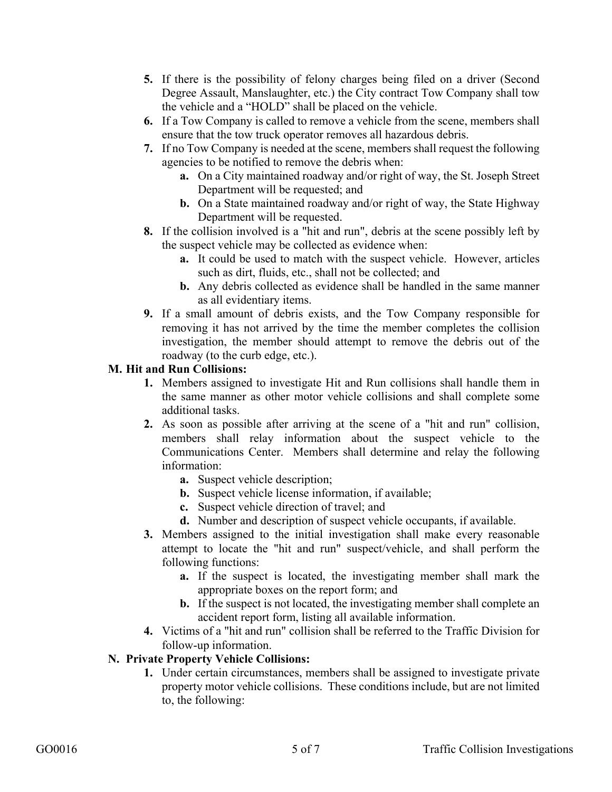- **5.** If there is the possibility of felony charges being filed on a driver (Second Degree Assault, Manslaughter, etc.) the City contract Tow Company shall tow the vehicle and a "HOLD" shall be placed on the vehicle.
- **6.** If a Tow Company is called to remove a vehicle from the scene, members shall ensure that the tow truck operator removes all hazardous debris.
- **7.** If no Tow Company is needed at the scene, members shall request the following agencies to be notified to remove the debris when:
	- **a.** On a City maintained roadway and/or right of way, the St. Joseph Street Department will be requested; and
	- **b.** On a State maintained roadway and/or right of way, the State Highway Department will be requested.
- **8.** If the collision involved is a "hit and run", debris at the scene possibly left by the suspect vehicle may be collected as evidence when:
	- **a.** It could be used to match with the suspect vehicle. However, articles such as dirt, fluids, etc., shall not be collected; and
	- **b.** Any debris collected as evidence shall be handled in the same manner as all evidentiary items.
- **9.** If a small amount of debris exists, and the Tow Company responsible for removing it has not arrived by the time the member completes the collision investigation, the member should attempt to remove the debris out of the roadway (to the curb edge, etc.).

# **M. Hit and Run Collisions:**

- **1.** Members assigned to investigate Hit and Run collisions shall handle them in the same manner as other motor vehicle collisions and shall complete some additional tasks.
- **2.** As soon as possible after arriving at the scene of a "hit and run" collision, members shall relay information about the suspect vehicle to the Communications Center. Members shall determine and relay the following information:
	- **a.** Suspect vehicle description;
	- **b.** Suspect vehicle license information, if available;
	- **c.** Suspect vehicle direction of travel; and
	- **d.** Number and description of suspect vehicle occupants, if available.
- **3.** Members assigned to the initial investigation shall make every reasonable attempt to locate the "hit and run" suspect/vehicle, and shall perform the following functions:
	- **a.** If the suspect is located, the investigating member shall mark the appropriate boxes on the report form; and
	- **b.** If the suspect is not located, the investigating member shall complete an accident report form, listing all available information.
- **4.** Victims of a "hit and run" collision shall be referred to the Traffic Division for follow-up information.

# **N. Private Property Vehicle Collisions:**

**1.** Under certain circumstances, members shall be assigned to investigate private property motor vehicle collisions. These conditions include, but are not limited to, the following: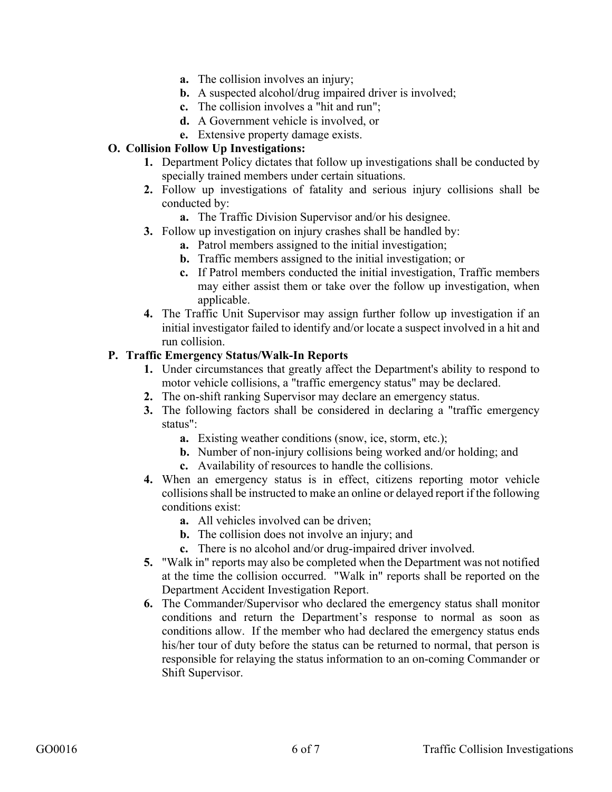- **a.** The collision involves an injury;
- **b.** A suspected alcohol/drug impaired driver is involved;
- **c.** The collision involves a "hit and run";
- **d.** A Government vehicle is involved, or
- **e.** Extensive property damage exists.

### **O. Collision Follow Up Investigations:**

- **1.** Department Policy dictates that follow up investigations shall be conducted by specially trained members under certain situations.
- **2.** Follow up investigations of fatality and serious injury collisions shall be conducted by:
	- **a.** The Traffic Division Supervisor and/or his designee.
- **3.** Follow up investigation on injury crashes shall be handled by:
	- **a.** Patrol members assigned to the initial investigation;
	- **b.** Traffic members assigned to the initial investigation; or
	- **c.** If Patrol members conducted the initial investigation, Traffic members may either assist them or take over the follow up investigation, when applicable.
- **4.** The Traffic Unit Supervisor may assign further follow up investigation if an initial investigator failed to identify and/or locate a suspect involved in a hit and run collision.

#### **P. Traffic Emergency Status/Walk-In Reports**

- **1.** Under circumstances that greatly affect the Department's ability to respond to motor vehicle collisions, a "traffic emergency status" may be declared.
- **2.** The on-shift ranking Supervisor may declare an emergency status.
- **3.** The following factors shall be considered in declaring a "traffic emergency status":
	- **a.** Existing weather conditions (snow, ice, storm, etc.);
	- **b.** Number of non-injury collisions being worked and/or holding; and
	- **c.** Availability of resources to handle the collisions.
- **4.** When an emergency status is in effect, citizens reporting motor vehicle collisions shall be instructed to make an online or delayed report if the following conditions exist:
	- **a.** All vehicles involved can be driven;
	- **b.** The collision does not involve an injury; and
	- **c.** There is no alcohol and/or drug-impaired driver involved.
- **5.** "Walk in" reports may also be completed when the Department was not notified at the time the collision occurred. "Walk in" reports shall be reported on the Department Accident Investigation Report.
- **6.** The Commander/Supervisor who declared the emergency status shall monitor conditions and return the Department's response to normal as soon as conditions allow. If the member who had declared the emergency status ends his/her tour of duty before the status can be returned to normal, that person is responsible for relaying the status information to an on-coming Commander or Shift Supervisor.